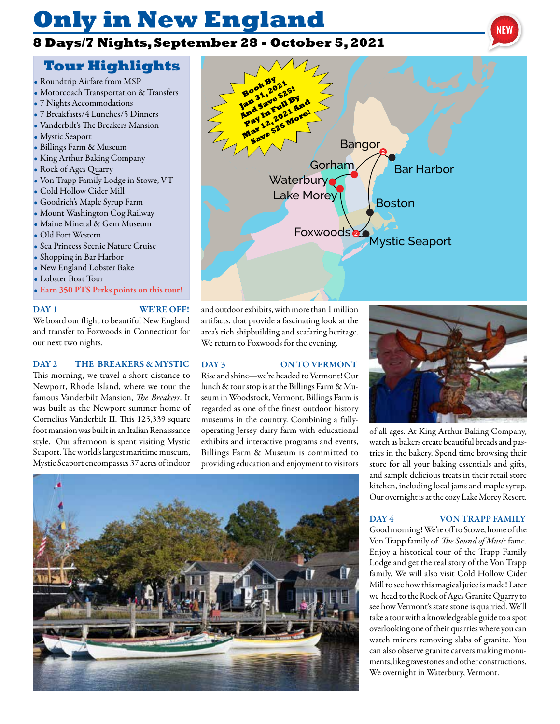# **Only in New England**

## **8 Days/7 Nights, September 28 - October 5, 2021**

## **Tour Highlights**

- Roundtrip Airfare from MSP
- Motorcoach Transportation & Transfers
- 7 Nights Accommodations
- 7 Breakfasts/4 Lunches/5 Dinners
- Vanderbilt's The Breakers Mansion
- Mystic Seaport
- Billings Farm & Museum
- King Arthur Baking Company
- Rock of Ages Quarry
- Von Trapp Family Lodge in Stowe, VT
- Cold Hollow Cider Mill
- Goodrich's Maple Syrup Farm
- Mount Washington Cog Railway
- Maine Mineral & Gem Museum
- Old Fort Western
- Sea Princess Scenic Nature Cruise
- Shopping in Bar Harbor
- New England Lobster Bake
- Lobster Boat Tour
- Earn 350 PTS Perks points on this tour!

#### DAY 1 WE'RE OFF!

We board our flight to beautiful New England and transfer to Foxwoods in Connecticut for our next two nights.

### DAY 2 THE BREAKERS & MYSTIC

This morning, we travel a short distance to Newport, Rhode Island, where we tour the famous Vanderbilt Mansion, *The Breakers*. It was built as the Newport summer home of Cornelius Vanderbilt II. This 125,339 square foot mansion was built in an Italian Renaissance style. Our afternoon is spent visiting Mystic Seaport. The world's largest maritime museum, Mystic Seaport encompasses 37 acres of indoor

### DAY 3 ON TO VERMONT

Rise and shine—we're headed to Vermont! Our lunch & tour stop is at the Billings Farm & Museum in Woodstock, Vermont. Billings Farm is regarded as one of the finest outdoor history museums in the country. Combining a fullyoperating Jersey dairy farm with educational exhibits and interactive programs and events, Billings Farm & Museum is committed to providing education and enjoyment to visitors

and outdoor exhibits, with more than 1 million artifacts, that provide a fascinating look at the area's rich shipbuilding and seafaring heritage. We return to Foxwoods for the evening.





of all ages. At King Arthur Baking Company, watch as bakers create beautiful breads and pastries in the bakery. Spend time browsing their store for all your baking essentials and gifts, and sample delicious treats in their retail store kitchen, including local jams and maple syrup. Our overnight is at the cozy Lake Morey Resort.

#### DAY 4 VON TRAPP FAMILY

Good morning! We're off to Stowe, home of the Von Trapp family of *The Sound of Music* fame. Enjoy a historical tour of the Trapp Family Lodge and get the real story of the Von Trapp family. We will also visit Cold Hollow Cider Mill to see how this magical juice is made! Later we head to the Rock of Ages Granite Quarry to see how Vermont's state stone is quarried. We'll take a tour with a knowledgeable guide to a spot overlooking one of their quarries where you can watch miners removing slabs of granite. You can also observe granite carvers making monuments, like gravestones and other constructions. We overnight in Waterbury, Vermont.